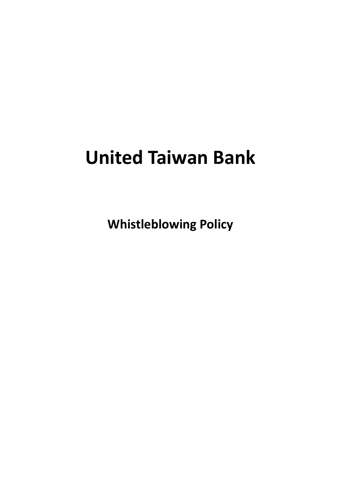# **United Taiwan Bank**

**Whistleblowing Policy**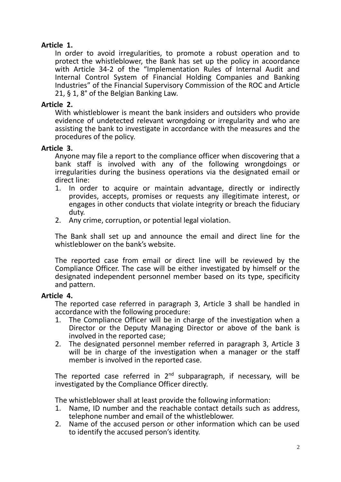# **Article 1.**

In order to avoid irregularities, to promote a robust operation and to protect the whistleblower, the Bank has set up the policy in acoordance with Article 34-2 of the "Implementation Rules of Internal Audit and Internal Control System of Financial Holding Companies and Banking Industries" of the Financial Supervisory Commission of the ROC and Article 21, § 1, 8° of the Belgian Banking Law.

# **Article 2.**

With whistleblower is meant the bank insiders and outsiders who provide evidence of undetected relevant wrongdoing or irregularity and who are assisting the bank to investigate in accordance with the measures and the procedures of the policy.

## **Article 3.**

Anyone may file a report to the compliance officer when discovering that a bank staff is involved with any of the following wrongdoings or irregularities during the business operations via the designated email or direct line:

- 1. In order to acquire or maintain advantage, directly or indirectly provides, accepts, promises or requests any illegitimate interest, or engages in other conducts that violate integrity or breach the fiduciary duty.
- 2. Any crime, corruption, or potential legal violation.

The Bank shall set up and announce the email and direct line for the whistleblower on the bank's website.

The reported case from email or direct line will be reviewed by the Compliance Officer. The case will be either investigated by himself or the designated independent personnel member based on its type, specificity and pattern.

## **Article 4.**

The reported case referred in paragraph 3, Article 3 shall be handled in accordance with the following procedure:

- 1. The Compliance Officer will be in charge of the investigation when a Director or the Deputy Managing Director or above of the bank is involved in the reported case;
- 2. The designated personnel member referred in paragraph 3, Article 3 will be in charge of the investigation when a manager or the staff member is involved in the reported case.

The reported case referred in  $2^{nd}$  subparagraph, if necessary, will be investigated by the Compliance Officer directly.

The whistleblower shall at least provide the following information:

- 1. Name, ID number and the reachable contact details such as address, telephone number and email of the whistleblower.
- 2. Name of the accused person or other information which can be used to identify the accused person's identity.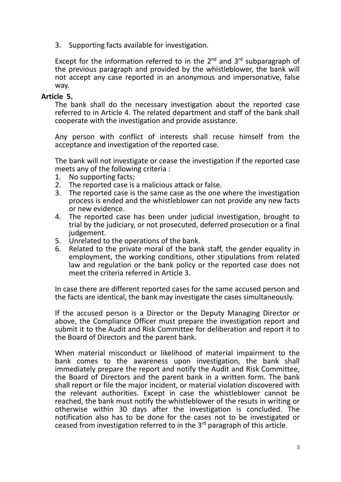3. Supporting facts available for investigation.

Except for the information referred to in the  $2^{nd}$  and  $3^{rd}$  subparagraph of the previous paragraph and provided by the whistleblower, the bank will not accept any case reported in an anonymous and impersonative, false way.

## **Article 5.**

The bank shall do the necessary investigation about the reported case referred to in Article 4. The related department and staff of the bank shall cooperate with the investigation and provide assistance.

Any person with conflict of interests shall recuse himself from the acceptance and investigation of the reported case.

The bank will not investigate or cease the investigation if the reported case meets any of the following criteria :

- 1. No supporting facts;
- 2. The reported case is a malicious attack or false.
- 3. The reported case is the same case as the one where the investigation process is ended and the whistleblower can not provide any new facts or new evidence.
- 4. The reported case has been under judicial investigation, brought to trial by the judiciary, or not prosecuted, deferred prosecution or a final judgement.
- 5. Unrelated to the operations of the bank.
- 6. Related to the private moral of the bank staff, the gender equality in employment, the working conditions, other stipulations from related law and regulation or the bank policy or the reported case does not meet the criteria referred in Article 3.

In case there are different reported cases for the same accused person and the facts are identical, the bank may investigate the cases simultaneously.

If the accused person is a Director or the Deputy Managing Director or above, the Compliance Officer must prepare the investigation report and submit it to the Audit and Risk Committee for deliberation and report it to the Board of Directors and the parent bank.

When material misconduct or likelihood of material impairment to the bank comes to the awareness upon investigation, the bank shall immediately prepare the report and notify the Audit and Risk Committee, the Board of Directors and the parent bank in a written form. The bank shall report or file the major incident, or material violation discovered with the relevant authorities. Except in case the whistleblower cannot be reached, the bank must notify the whistleblower of the resuts in writing or otherwise within 30 days after the investigation is concluded. The notification also has to be done for the cases not to be investigated or ceased from investigation referred to in the  $3<sup>rd</sup>$  paragraph of this article.